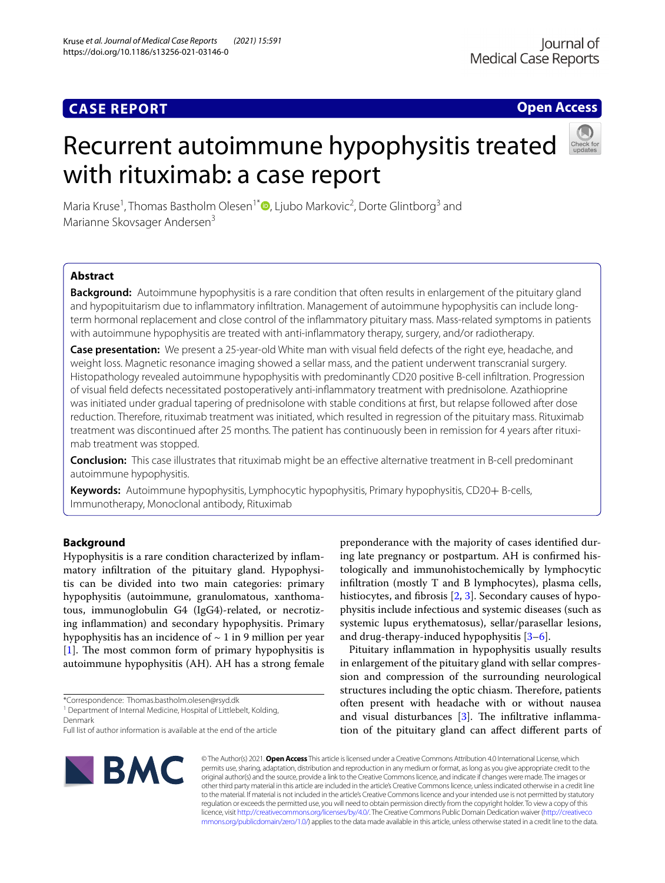**Open Access**

# Recurrent autoimmune hypophysitis treated with rituximab: a case report



Maria Kruse<sup>1</sup>[,](http://orcid.org/0000-0003-1464-7342) Thomas Bastholm Olesen<sup>1\*</sup><sup>®</sup>, Ljubo Markovic<sup>2</sup>, Dorte Glintborg<sup>3</sup> and Marianne Skovsager Andersen<sup>3</sup>

# **Abstract**

**Background:** Autoimmune hypophysitis is a rare condition that often results in enlargement of the pituitary gland and hypopituitarism due to infammatory infltration. Management of autoimmune hypophysitis can include longterm hormonal replacement and close control of the infammatory pituitary mass. Mass-related symptoms in patients with autoimmune hypophysitis are treated with anti-infammatory therapy, surgery, and/or radiotherapy.

**Case presentation:** We present a 25-year-old White man with visual feld defects of the right eye, headache, and weight loss. Magnetic resonance imaging showed a sellar mass, and the patient underwent transcranial surgery. Histopathology revealed autoimmune hypophysitis with predominantly CD20 positive B-cell infltration. Progression of visual feld defects necessitated postoperatively anti-infammatory treatment with prednisolone. Azathioprine was initiated under gradual tapering of prednisolone with stable conditions at frst, but relapse followed after dose reduction. Therefore, rituximab treatment was initiated, which resulted in regression of the pituitary mass. Rituximab treatment was discontinued after 25 months. The patient has continuously been in remission for 4 years after rituximab treatment was stopped.

**Conclusion:** This case illustrates that rituximab might be an efective alternative treatment in B-cell predominant autoimmune hypophysitis.

**Keywords:** Autoimmune hypophysitis, Lymphocytic hypophysitis, Primary hypophysitis, CD20+ B-cells, Immunotherapy, Monoclonal antibody, Rituximab

# **Background**

Hypophysitis is a rare condition characterized by infammatory infltration of the pituitary gland. Hypophysitis can be divided into two main categories: primary hypophysitis (autoimmune, granulomatous, xanthomatous, immunoglobulin G4 (IgG4)-related, or necrotizing infammation) and secondary hypophysitis. Primary hypophysitis has an incidence of  $\sim$  1 in 9 million per year  $[1]$  $[1]$ . The most common form of primary hypophysitis is autoimmune hypophysitis (AH). AH has a strong female

preponderance with the majority of cases identifed during late pregnancy or postpartum. AH is confrmed histologically and immunohistochemically by lymphocytic infltration (mostly T and B lymphocytes), plasma cells, histiocytes, and fibrosis [[2,](#page-4-1) [3](#page-4-2)]. Secondary causes of hypophysitis include infectious and systemic diseases (such as systemic lupus erythematosus), sellar/parasellar lesions, and drug-therapy-induced hypophysitis [\[3](#page-4-2)[–6\]](#page-4-3).

Pituitary infammation in hypophysitis usually results in enlargement of the pituitary gland with sellar compression and compression of the surrounding neurological structures including the optic chiasm. Therefore, patients often present with headache with or without nausea and visual disturbances  $[3]$  $[3]$ . The infiltrative inflammation of the pituitary gland can afect diferent parts of



© The Author(s) 2021. **Open Access** This article is licensed under a Creative Commons Attribution 4.0 International License, which permits use, sharing, adaptation, distribution and reproduction in any medium or format, as long as you give appropriate credit to the original author(s) and the source, provide a link to the Creative Commons licence, and indicate if changes were made. The images or other third party material in this article are included in the article's Creative Commons licence, unless indicated otherwise in a credit line to the material. If material is not included in the article's Creative Commons licence and your intended use is not permitted by statutory regulation or exceeds the permitted use, you will need to obtain permission directly from the copyright holder. To view a copy of this licence, visit [http://creativecommons.org/licenses/by/4.0/.](http://creativecommons.org/licenses/by/4.0/) The Creative Commons Public Domain Dedication waiver ([http://creativeco](http://creativecommons.org/publicdomain/zero/1.0/) [mmons.org/publicdomain/zero/1.0/](http://creativecommons.org/publicdomain/zero/1.0/)) applies to the data made available in this article, unless otherwise stated in a credit line to the data.

<sup>\*</sup>Correspondence: Thomas.bastholm.olesen@rsyd.dk

<sup>&</sup>lt;sup>1</sup> Department of Internal Medicine, Hospital of Littlebelt, Kolding, Denmark

Full list of author information is available at the end of the article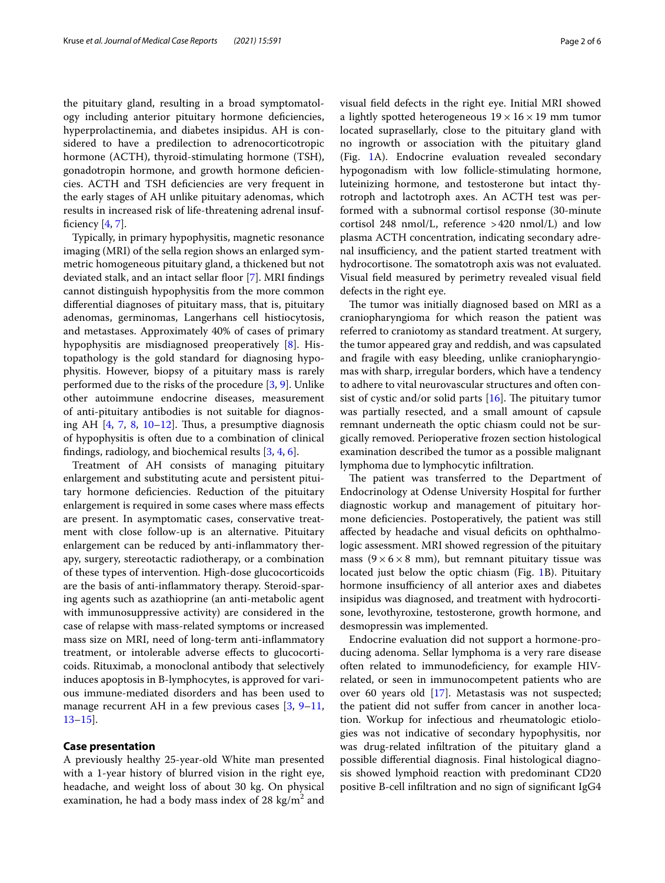the pituitary gland, resulting in a broad symptomatology including anterior pituitary hormone defciencies, hyperprolactinemia, and diabetes insipidus. AH is considered to have a predilection to adrenocorticotropic hormone (ACTH), thyroid-stimulating hormone (TSH), gonadotropin hormone, and growth hormone deficiencies. ACTH and TSH defciencies are very frequent in the early stages of AH unlike pituitary adenomas, which results in increased risk of life-threatening adrenal insufficiency  $[4, 7]$  $[4, 7]$  $[4, 7]$  $[4, 7]$ .

Typically, in primary hypophysitis, magnetic resonance imaging (MRI) of the sella region shows an enlarged symmetric homogeneous pituitary gland, a thickened but not deviated stalk, and an intact sellar floor [[7\]](#page-4-5). MRI findings cannot distinguish hypophysitis from the more common diferential diagnoses of pituitary mass, that is, pituitary adenomas, germinomas, Langerhans cell histiocytosis, and metastases. Approximately 40% of cases of primary hypophysitis are misdiagnosed preoperatively [[8\]](#page-5-0). Histopathology is the gold standard for diagnosing hypophysitis. However, biopsy of a pituitary mass is rarely performed due to the risks of the procedure [\[3](#page-4-2), [9\]](#page-5-1). Unlike other autoimmune endocrine diseases, measurement of anti-pituitary antibodies is not suitable for diagnosing AH  $[4, 7, 8, 10-12]$  $[4, 7, 8, 10-12]$  $[4, 7, 8, 10-12]$  $[4, 7, 8, 10-12]$  $[4, 7, 8, 10-12]$  $[4, 7, 8, 10-12]$  $[4, 7, 8, 10-12]$  $[4, 7, 8, 10-12]$ . Thus, a presumptive diagnosis of hypophysitis is often due to a combination of clinical fndings, radiology, and biochemical results [[3,](#page-4-2) [4](#page-4-4), [6\]](#page-4-3).

Treatment of AH consists of managing pituitary enlargement and substituting acute and persistent pituitary hormone defciencies. Reduction of the pituitary enlargement is required in some cases where mass efects are present. In asymptomatic cases, conservative treatment with close follow-up is an alternative. Pituitary enlargement can be reduced by anti-infammatory therapy, surgery, stereotactic radiotherapy, or a combination of these types of intervention. High-dose glucocorticoids are the basis of anti-infammatory therapy. Steroid-sparing agents such as azathioprine (an anti-metabolic agent with immunosuppressive activity) are considered in the case of relapse with mass-related symptoms or increased mass size on MRI, need of long-term anti-infammatory treatment, or intolerable adverse efects to glucocorticoids. Rituximab, a monoclonal antibody that selectively induces apoptosis in B-lymphocytes, is approved for various immune-mediated disorders and has been used to manage recurrent AH in a few previous cases [[3,](#page-4-2) [9](#page-5-1)[–11](#page-5-4), [13–](#page-5-5)[15](#page-5-6)].

## **Case presentation**

A previously healthy 25-year-old White man presented with a 1-year history of blurred vision in the right eye, headache, and weight loss of about 30 kg. On physical examination, he had a body mass index of 28 kg/m<sup>2</sup> and visual feld defects in the right eye. Initial MRI showed a lightly spotted heterogeneous  $19 \times 16 \times 19$  mm tumor located suprasellarly, close to the pituitary gland with no ingrowth or association with the pituitary gland (Fig. [1](#page-2-0)A). Endocrine evaluation revealed secondary hypogonadism with low follicle-stimulating hormone, luteinizing hormone, and testosterone but intact thyrotroph and lactotroph axes. An ACTH test was performed with a subnormal cortisol response (30-minute cortisol 248 nmol/L, reference >420 nmol/L) and low plasma ACTH concentration, indicating secondary adrenal insufficiency, and the patient started treatment with hydrocortisone. The somatotroph axis was not evaluated. Visual feld measured by perimetry revealed visual feld defects in the right eye.

The tumor was initially diagnosed based on MRI as a craniopharyngioma for which reason the patient was referred to craniotomy as standard treatment. At surgery, the tumor appeared gray and reddish, and was capsulated and fragile with easy bleeding, unlike craniopharyngiomas with sharp, irregular borders, which have a tendency to adhere to vital neurovascular structures and often consist of cystic and/or solid parts  $[16]$  $[16]$ . The pituitary tumor was partially resected, and a small amount of capsule remnant underneath the optic chiasm could not be surgically removed. Perioperative frozen section histological examination described the tumor as a possible malignant lymphoma due to lymphocytic infltration.

The patient was transferred to the Department of Endocrinology at Odense University Hospital for further diagnostic workup and management of pituitary hormone defciencies. Postoperatively, the patient was still afected by headache and visual defcits on ophthalmologic assessment. MRI showed regression of the pituitary mass  $(9 \times 6 \times 8$  mm), but remnant pituitary tissue was located just below the optic chiasm (Fig. [1B](#page-2-0)). Pituitary hormone insufficiency of all anterior axes and diabetes insipidus was diagnosed, and treatment with hydrocortisone, levothyroxine, testosterone, growth hormone, and desmopressin was implemented.

Endocrine evaluation did not support a hormone-producing adenoma. Sellar lymphoma is a very rare disease often related to immunodefciency, for example HIVrelated, or seen in immunocompetent patients who are over 60 years old [[17\]](#page-5-8). Metastasis was not suspected; the patient did not sufer from cancer in another location. Workup for infectious and rheumatologic etiologies was not indicative of secondary hypophysitis, nor was drug-related infltration of the pituitary gland a possible diferential diagnosis. Final histological diagnosis showed lymphoid reaction with predominant CD20 positive B-cell infltration and no sign of signifcant IgG4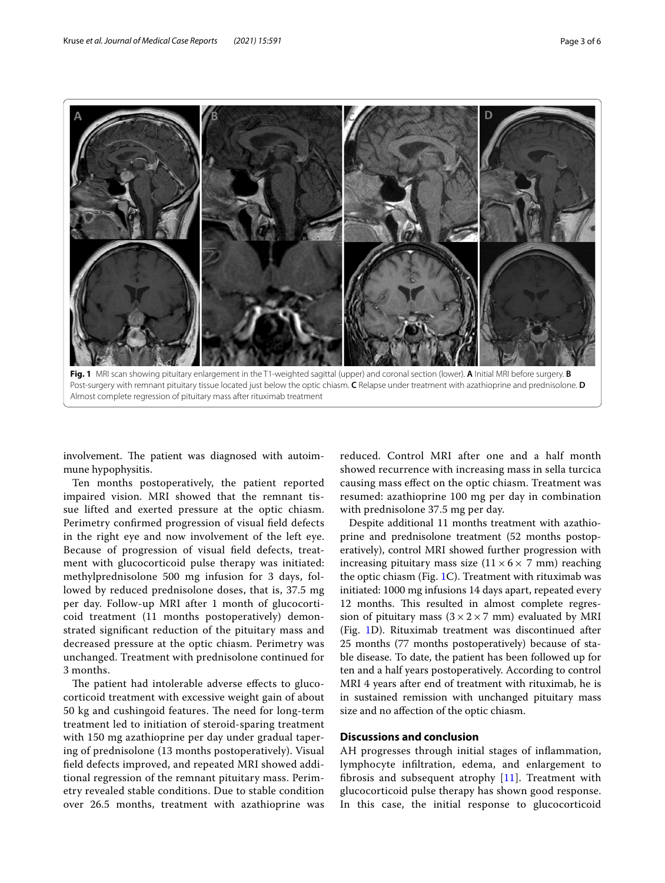

<span id="page-2-0"></span>**Fig. 1** MRI scan showing pituitary enlargement in the T1-weighted sagittal (upper) and coronal section (lower). **A** Initial MRI before surgery. **B** Post-surgery with remnant pituitary tissue located just below the optic chiasm. **C** Relapse under treatment with azathioprine and prednisolone. **D** Almost complete regression of pituitary mass after rituximab treatment

involvement. The patient was diagnosed with autoimmune hypophysitis.

Ten months postoperatively, the patient reported impaired vision. MRI showed that the remnant tissue lifted and exerted pressure at the optic chiasm. Perimetry confrmed progression of visual feld defects in the right eye and now involvement of the left eye. Because of progression of visual feld defects, treatment with glucocorticoid pulse therapy was initiated: methylprednisolone 500 mg infusion for 3 days, followed by reduced prednisolone doses, that is, 37.5 mg per day. Follow-up MRI after 1 month of glucocorticoid treatment (11 months postoperatively) demonstrated signifcant reduction of the pituitary mass and decreased pressure at the optic chiasm. Perimetry was unchanged. Treatment with prednisolone continued for 3 months.

The patient had intolerable adverse effects to glucocorticoid treatment with excessive weight gain of about 50 kg and cushingoid features. The need for long-term treatment led to initiation of steroid-sparing treatment with 150 mg azathioprine per day under gradual tapering of prednisolone (13 months postoperatively). Visual feld defects improved, and repeated MRI showed additional regression of the remnant pituitary mass. Perimetry revealed stable conditions. Due to stable condition over 26.5 months, treatment with azathioprine was

reduced. Control MRI after one and a half month showed recurrence with increasing mass in sella turcica causing mass efect on the optic chiasm. Treatment was resumed: azathioprine 100 mg per day in combination with prednisolone 37.5 mg per day.

Despite additional 11 months treatment with azathioprine and prednisolone treatment (52 months postoperatively), control MRI showed further progression with increasing pituitary mass size  $(11 \times 6 \times 7 \text{ mm})$  reaching the optic chiasm (Fig. [1C](#page-2-0)). Treatment with rituximab was initiated: 1000 mg infusions 14 days apart, repeated every 12 months. This resulted in almost complete regression of pituitary mass  $(3 \times 2 \times 7 \text{ mm})$  evaluated by MRI (Fig. [1](#page-2-0)D). Rituximab treatment was discontinued after 25 months (77 months postoperatively) because of stable disease. To date, the patient has been followed up for ten and a half years postoperatively. According to control MRI 4 years after end of treatment with rituximab, he is in sustained remission with unchanged pituitary mass size and no afection of the optic chiasm.

# **Discussions and conclusion**

AH progresses through initial stages of infammation, lymphocyte infltration, edema, and enlargement to fibrosis and subsequent atrophy  $[11]$  $[11]$ . Treatment with glucocorticoid pulse therapy has shown good response. In this case, the initial response to glucocorticoid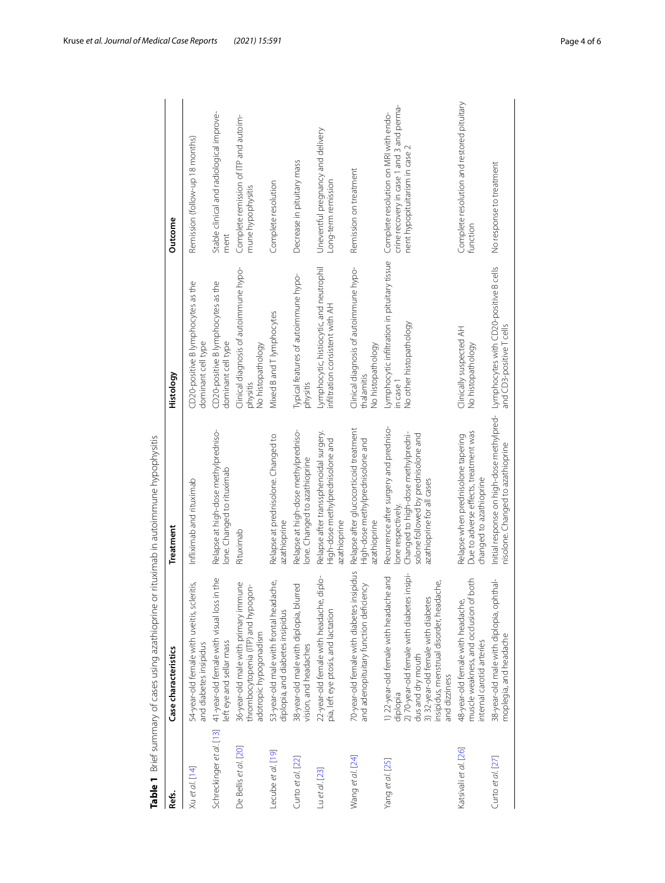|                          | Table 1 Brief summary of cases using azathioprine or rituximab in autoimmune hypophysitis                                                                                                                                   |                                                                                                                                                                       |                                                                                    |                                                                                                                      |
|--------------------------|-----------------------------------------------------------------------------------------------------------------------------------------------------------------------------------------------------------------------------|-----------------------------------------------------------------------------------------------------------------------------------------------------------------------|------------------------------------------------------------------------------------|----------------------------------------------------------------------------------------------------------------------|
| Refs.                    | Case characteristics                                                                                                                                                                                                        | Treatment                                                                                                                                                             | Histology                                                                          | Outcome                                                                                                              |
| Xu et al. [14]           | 54-year-old female with uveitis, scleritis,<br>and diabetes insipidus                                                                                                                                                       | Infliximab and rituximab                                                                                                                                              | CD20-positive B lymphocytes as the<br>dominant cell type                           | Remission (follow-up 18 months)                                                                                      |
| Schreckinger et al. [13] | 41-year-old female with visual loss in the<br>left eye and sellar mass                                                                                                                                                      | Relapse at high-dose methylpredniso-<br>lone. Changed to rituximab                                                                                                    | CD20-positive B lymphocytes as the<br>dominant cell type                           | Stable clinical and radiological improve-<br>ment                                                                    |
| De Bellis et al. [20]    | 36-year-old male with primary immune<br>thrombocytopenia (ITP) and hypogon-<br>adotropic hypogonadism                                                                                                                       | Rituximab                                                                                                                                                             | Clinical diagnosis of autoimmune hypo-<br>No histopathology<br>physitis            | Complete remission of ITP and autoim-<br>mune hypophysitis                                                           |
| ecube et al. [19]        | 53-year-old male with frontal headache,<br>diplopia, and diabetes insipidus                                                                                                                                                 | Relapse at prednisolone. Changed to<br>azathioprine                                                                                                                   | Mixed B and T lymphocytes                                                          | Complete resolution                                                                                                  |
| Curto et al. [22]        | 38-year-old male with diplopia, blurred<br>vision, and headaches                                                                                                                                                            | Relapse at high-dose methylpredniso-<br>one. Changed to azathioprine                                                                                                  | Typical features of autoimmune hypo-<br>physitis                                   | Decrease in pituitary mass                                                                                           |
| Lu et al. [23]           | 22-year-old female with headache, diplo-<br>pia, left eye ptosis, and lactation                                                                                                                                             | Relapse after transsphenoidal surgery.<br>High-dose methylprednisolone and<br>azathioprine                                                                            | Lymphocytic, histiocytic, and neutrophil<br>infiltration consistent with AH        | Uneventful pregnancy and delivery<br>Long-term remission                                                             |
| Wang et al. [24]         | 70-year-old female with diabetes insipidus<br>and adenopituitary function deficiency                                                                                                                                        | Relapse after glucocorticoid treatment<br>High-dose methylprednisolone and<br>azathioprine                                                                            | Clinical diagnosis of autoimmune hypo-<br>No histopathology<br>thalamitis          | Remission on treatment                                                                                               |
| Yang et al. [25]         | 2) 70-year-old female with diabetes insipi-<br>1) 22-year-old female with headache and<br>insipidus, menstrual disorder, headache,<br>3) 32-year-old female with diabetes<br>dus and dry mouth<br>and dizziness<br>diplopia | Recurrence after surgery and predniso-<br>Changed to high-dose methylpredni-<br>solone followed by prednisolone and<br>azathioprine for all cases<br>one respectively | Lymphocytic infiltration in pituitary tissue<br>No other histopathology<br>in case | crine recovery in case 1 and 3 and perma-<br>Complete resolution on MRI with endo-<br>nent hypopituitarism in case 2 |
| Katsivali et al. [26]    | both<br>muscle weakness, and occlusion of<br>48-year-old female with headache,<br>internal carotid arteries                                                                                                                 | Due to adverse effects, treatment was<br>Relapse when prednisolone tapering<br>changed to azathioprine                                                                | Clinically suspected AH<br>No histopathology                                       | Complete resolution and restored pituitary<br>function                                                               |
| Curto et al. [27]        | 38-year-old male with diplopia, ophthal-<br>moplegia, and headache                                                                                                                                                          | Initial response on high-dose methylpred- Lymphocytes with CD20-positive B cells<br>nisolone. Changed to azathioprine                                                 | and CD3-positive T cells                                                           | No response to treatment                                                                                             |

<span id="page-3-0"></span>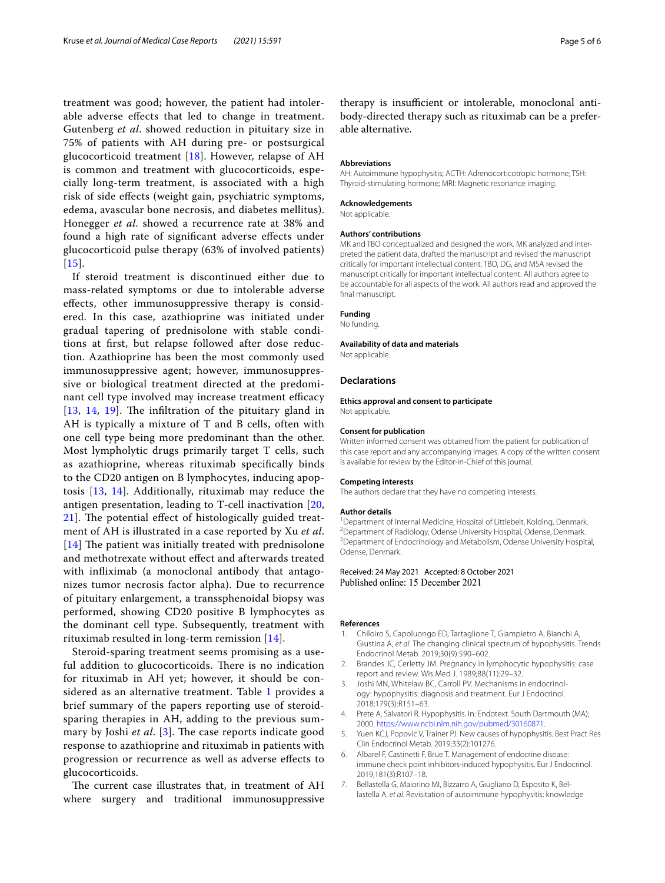treatment was good; however, the patient had intolerable adverse efects that led to change in treatment. Gutenberg *et al*. showed reduction in pituitary size in 75% of patients with AH during pre- or postsurgical glucocorticoid treatment [\[18](#page-5-18)]. However, relapse of AH is common and treatment with glucocorticoids, especially long-term treatment, is associated with a high risk of side efects (weight gain, psychiatric symptoms, edema, avascular bone necrosis, and diabetes mellitus). Honegger *et al*. showed a recurrence rate at 38% and found a high rate of signifcant adverse efects under glucocorticoid pulse therapy (63% of involved patients)  $[15]$  $[15]$  $[15]$ .

If steroid treatment is discontinued either due to mass-related symptoms or due to intolerable adverse efects, other immunosuppressive therapy is considered. In this case, azathioprine was initiated under gradual tapering of prednisolone with stable conditions at frst, but relapse followed after dose reduction. Azathioprine has been the most commonly used immunosuppressive agent; however, immunosuppressive or biological treatment directed at the predominant cell type involved may increase treatment efficacy  $[13, 14, 19]$  $[13, 14, 19]$  $[13, 14, 19]$  $[13, 14, 19]$  $[13, 14, 19]$  $[13, 14, 19]$ . The infiltration of the pituitary gland in AH is typically a mixture of T and B cells, often with one cell type being more predominant than the other. Most lympholytic drugs primarily target T cells, such as azathioprine, whereas rituximab specifcally binds to the CD20 antigen on B lymphocytes, inducing apoptosis [\[13](#page-5-5), [14\]](#page-5-9). Additionally, rituximab may reduce the antigen presentation, leading to T-cell inactivation [\[20](#page-5-10),  $21$ ]. The potential effect of histologically guided treatment of AH is illustrated in a case reported by Xu *et al*.  $[14]$  $[14]$  $[14]$  The patient was initially treated with prednisolone and methotrexate without efect and afterwards treated with infiximab (a monoclonal antibody that antagonizes tumor necrosis factor alpha). Due to recurrence of pituitary enlargement, a transsphenoidal biopsy was performed, showing CD20 positive B lymphocytes as the dominant cell type. Subsequently, treatment with rituximab resulted in long-term remission [[14\]](#page-5-9).

Steroid-sparing treatment seems promising as a useful addition to glucocorticoids. There is no indication for rituximab in AH yet; however, it should be considered as an alternative treatment. Table [1](#page-3-0) provides a brief summary of the papers reporting use of steroidsparing therapies in AH, adding to the previous summary by Joshi *et al.* [[3\]](#page-4-2). The case reports indicate good response to azathioprine and rituximab in patients with progression or recurrence as well as adverse efects to glucocorticoids.

The current case illustrates that, in treatment of AH where surgery and traditional immunosuppressive

therapy is insufficient or intolerable, monoclonal antibody-directed therapy such as rituximab can be a preferable alternative.

#### **Abbreviations**

AH: Autoimmune hypophysitis; ACTH: Adrenocorticotropic hormone; TSH: Thyroid-stimulating hormone; MRI: Magnetic resonance imaging.

# **Acknowledgements**

Not applicable.

#### **Authors' contributions**

MK and TBO conceptualized and designed the work. MK analyzed and interpreted the patient data, drafted the manuscript and revised the manuscript critically for important intellectual content. TBO, DG, and MSA revised the manuscript critically for important intellectual content. All authors agree to be accountable for all aspects of the work. All authors read and approved the final manuscript.

#### **Funding**

No funding.

### **Availability of data and materials**

Not applicable.

## **Declarations**

**Ethics approval and consent to participate**

Not applicable.

### **Consent for publication**

Written informed consent was obtained from the patient for publication of this case report and any accompanying images. A copy of the written consent is available for review by the Editor-in-Chief of this journal.

#### **Competing interests**

The authors declare that they have no competing interests.

#### **Author details**

<sup>1</sup> Department of Internal Medicine, Hospital of Littlebelt, Kolding, Denmark.<br><sup>2</sup> Department of Badiology, Odense University Hospital, Odense, Denmark. <sup>2</sup> Department of Radiology, Odense University Hospital, Odense, Denmark. <sup>3</sup>Department of Endocrinology and Metabolism, Odense University Hospital, Odense, Denmark.

## Received: 24 May 2021 Accepted: 8 October 2021 Published online: 15 December 2021

#### **References**

- <span id="page-4-0"></span>1. Chiloiro S, Capoluongo ED, Tartaglione T, Giampietro A, Bianchi A, Giustina A, *et al.* The changing clinical spectrum of hypophysitis. Trends Endocrinol Metab. 2019;30(9):590–602.
- <span id="page-4-1"></span>2. Brandes JC, Cerletty JM. Pregnancy in lymphocytic hypophysitis: case report and review. Wis Med J. 1989;88(11):29–32.
- <span id="page-4-2"></span>3. Joshi MN, Whitelaw BC, Carroll PV. Mechanisms in endocrinology: hypophysitis: diagnosis and treatment. Eur J Endocrinol. 2018;179(3):R151–63.
- <span id="page-4-4"></span>4. Prete A, Salvatori R. Hypophysitis. In: Endotext. South Dartmouth (MA); 2000.<https://www.ncbi.nlm.nih.gov/pubmed/30160871>.
- 5. Yuen KCJ, Popovic V, Trainer PJ. New causes of hypophysitis. Best Pract Res Clin Endocrinol Metab. 2019;33(2):101276.
- <span id="page-4-3"></span>6. Albarel F, Castinetti F, Brue T. Management of endocrine disease: immune check point inhibitors-induced hypophysitis. Eur J Endocrinol. 2019;181(3):R107–18.
- <span id="page-4-5"></span>7. Bellastella G, Maiorino MI, Bizzarro A, Giugliano D, Esposito K, Bellastella A, *et al.* Revisitation of autoimmune hypophysitis: knowledge